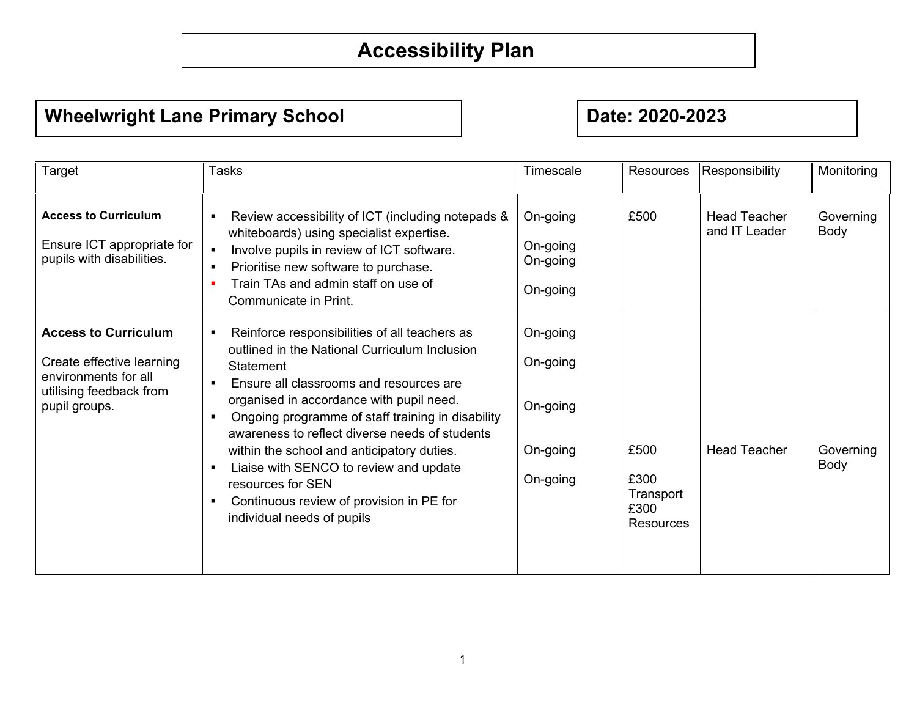## **Accessibility Plan**

## **Wheelwright Lane Primary School Metally Results and Primary School Results and Primary School Results and Primary School Results and Primary School Results and Primary School Results and Primary School Results and Primary**

| Target                                                                                                                       | <b>Tasks</b>                                                                                                                                                                                                                                                                                                                                                                                                                                                                                                                                                                  | Timescale                                                | Resources                                      | Responsibility                       | Monitoring        |
|------------------------------------------------------------------------------------------------------------------------------|-------------------------------------------------------------------------------------------------------------------------------------------------------------------------------------------------------------------------------------------------------------------------------------------------------------------------------------------------------------------------------------------------------------------------------------------------------------------------------------------------------------------------------------------------------------------------------|----------------------------------------------------------|------------------------------------------------|--------------------------------------|-------------------|
| <b>Access to Curriculum</b><br>Ensure ICT appropriate for<br>pupils with disabilities.                                       | Review accessibility of ICT (including notepads &<br>$\blacksquare$<br>whiteboards) using specialist expertise.<br>Involve pupils in review of ICT software.<br>$\blacksquare$<br>Prioritise new software to purchase.<br>$\blacksquare$<br>Train TAs and admin staff on use of<br>л<br>Communicate in Print.                                                                                                                                                                                                                                                                 | On-going<br>On-going<br>On-going<br>On-going             | £500                                           | <b>Head Teacher</b><br>and IT Leader | Governing<br>Body |
| <b>Access to Curriculum</b><br>Create effective learning<br>environments for all<br>utilising feedback from<br>pupil groups. | Reinforce responsibilities of all teachers as<br>$\blacksquare$<br>outlined in the National Curriculum Inclusion<br>Statement<br>Ensure all classrooms and resources are<br>$\blacksquare$<br>organised in accordance with pupil need.<br>Ongoing programme of staff training in disability<br>$\blacksquare$<br>awareness to reflect diverse needs of students<br>within the school and anticipatory duties.<br>Liaise with SENCO to review and update<br>$\blacksquare$<br>resources for SEN<br>Continuous review of provision in PE for<br>п<br>individual needs of pupils | On-going<br>On-going<br>On-going<br>On-going<br>On-going | £500<br>£300<br>Transport<br>£300<br>Resources | <b>Head Teacher</b>                  | Governing<br>Body |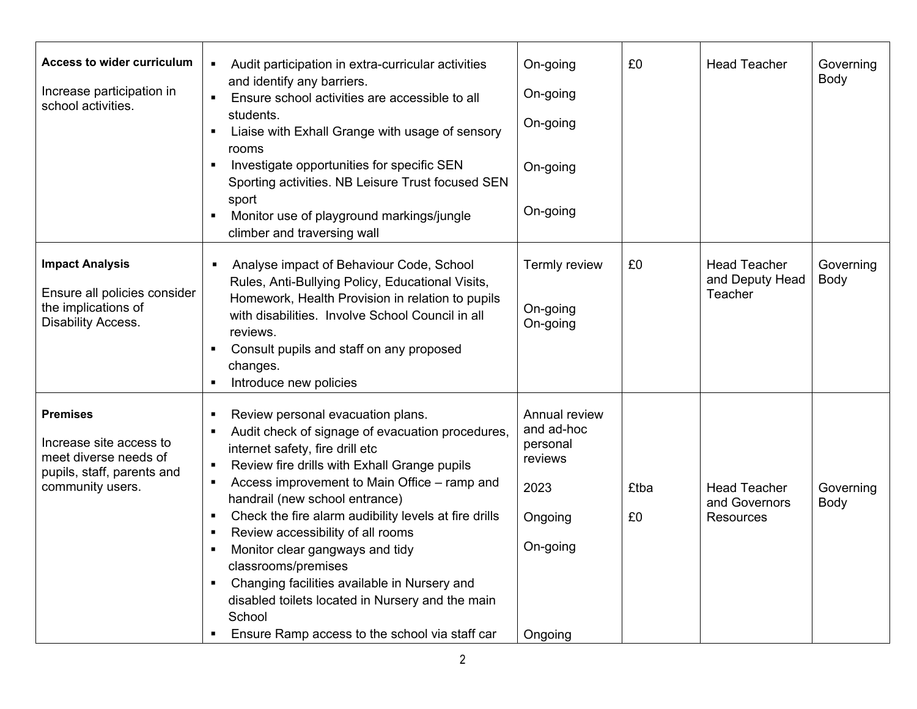| Access to wider curriculum<br>Increase participation in<br>school activities.                                         | Audit participation in extra-curricular activities<br>and identify any barriers.<br>Ensure school activities are accessible to all<br>students.<br>Liaise with Exhall Grange with usage of sensory<br>rooms<br>Investigate opportunities for specific SEN<br>п<br>Sporting activities. NB Leisure Trust focused SEN<br>sport<br>Monitor use of playground markings/jungle<br>climber and traversing wall                                                                                                                                                                                                                      | On-going<br>On-going<br>On-going<br>On-going<br>On-going                                     | £0         | <b>Head Teacher</b>                                      | Governing<br>Body |
|-----------------------------------------------------------------------------------------------------------------------|-------------------------------------------------------------------------------------------------------------------------------------------------------------------------------------------------------------------------------------------------------------------------------------------------------------------------------------------------------------------------------------------------------------------------------------------------------------------------------------------------------------------------------------------------------------------------------------------------------------------------------|----------------------------------------------------------------------------------------------|------------|----------------------------------------------------------|-------------------|
| <b>Impact Analysis</b><br>Ensure all policies consider<br>the implications of<br><b>Disability Access.</b>            | Analyse impact of Behaviour Code, School<br>Rules, Anti-Bullying Policy, Educational Visits,<br>Homework, Health Provision in relation to pupils<br>with disabilities. Involve School Council in all<br>reviews.<br>Consult pupils and staff on any proposed<br>changes.<br>Introduce new policies                                                                                                                                                                                                                                                                                                                            | Termly review<br>On-going<br>On-going                                                        | £0         | <b>Head Teacher</b><br>and Deputy Head<br>Teacher        | Governing<br>Body |
| <b>Premises</b><br>Increase site access to<br>meet diverse needs of<br>pupils, staff, parents and<br>community users. | Review personal evacuation plans.<br>п<br>Audit check of signage of evacuation procedures,<br>п<br>internet safety, fire drill etc<br>Review fire drills with Exhall Grange pupils<br>$\blacksquare$<br>Access improvement to Main Office - ramp and<br>п<br>handrail (new school entrance)<br>Check the fire alarm audibility levels at fire drills<br>п<br>Review accessibility of all rooms<br>п<br>Monitor clear gangways and tidy<br>classrooms/premises<br>Changing facilities available in Nursery and<br>disabled toilets located in Nursery and the main<br>School<br>Ensure Ramp access to the school via staff car | Annual review<br>and ad-hoc<br>personal<br>reviews<br>2023<br>Ongoing<br>On-going<br>Ongoing | £tba<br>£0 | <b>Head Teacher</b><br>and Governors<br><b>Resources</b> | Governing<br>Body |